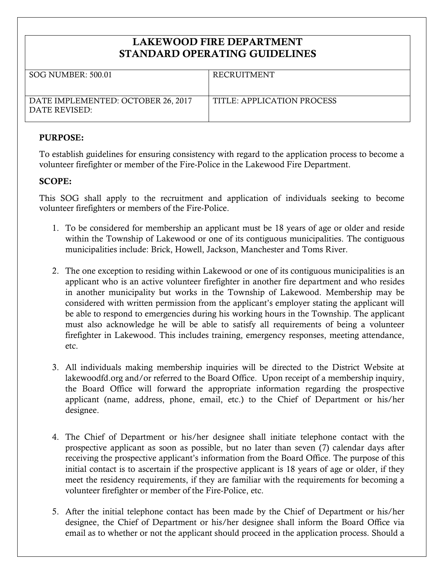## **LAKEWOOD FIRE DEPARTMENT STANDARD OPERATING GUIDELINES**

| <b>SOG NUMBER: 500.01</b>                           | <b>RECRUITMENT</b>         |
|-----------------------------------------------------|----------------------------|
| DATE IMPLEMENTED: OCTOBER 26, 2017<br>DATE REVISED: | TITLE: APPLICATION PROCESS |

## **PURPOSE:**

To establish guidelines for ensuring consistency with regard to the application process to become a volunteer firefighter or member of the Fire-Police in the Lakewood Fire Department.

## **SCOPE:**

This SOG shall apply to the recruitment and application of individuals seeking to become volunteer firefighters or members of the Fire-Police.

- 1. To be considered for membership an applicant must be 18 years of age or older and reside within the Township of Lakewood or one of its contiguous municipalities. The contiguous municipalities include: Brick, Howell, Jackson, Manchester and Toms River.
- 2. The one exception to residing within Lakewood or one of its contiguous municipalities is an applicant who is an active volunteer firefighter in another fire department and who resides in another municipality but works in the Township of Lakewood. Membership may be considered with written permission from the applicant's employer stating the applicant will be able to respond to emergencies during his working hours in the Township. The applicant must also acknowledge he will be able to satisfy all requirements of being a volunteer firefighter in Lakewood. This includes training, emergency responses, meeting attendance, etc.
- 3. All individuals making membership inquiries will be directed to the District Website at lakewoodfd.org and/or referred to the Board Office. Upon receipt of a membership inquiry, the Board Office will forward the appropriate information regarding the prospective applicant (name, address, phone, email, etc.) to the Chief of Department or his/her designee.
- 4. The Chief of Department or his/her designee shall initiate telephone contact with the prospective applicant as soon as possible, but no later than seven (7) calendar days after receiving the prospective applicant's information from the Board Office. The purpose of this initial contact is to ascertain if the prospective applicant is 18 years of age or older, if they meet the residency requirements, if they are familiar with the requirements for becoming a volunteer firefighter or member of the Fire-Police, etc.
- 5. After the initial telephone contact has been made by the Chief of Department or his/her designee, the Chief of Department or his/her designee shall inform the Board Office via email as to whether or not the applicant should proceed in the application process. Should a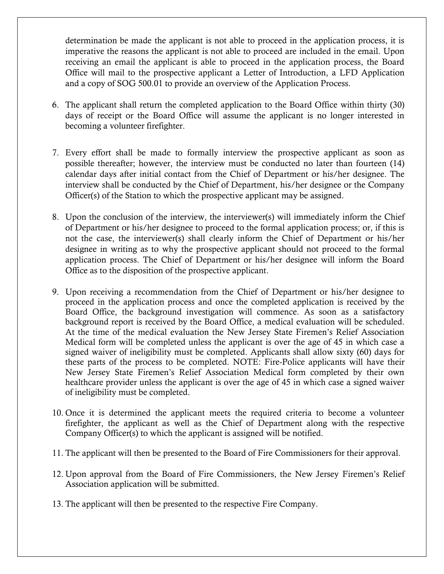determination be made the applicant is not able to proceed in the application process, it is imperative the reasons the applicant is not able to proceed are included in the email. Upon receiving an email the applicant is able to proceed in the application process, the Board Office will mail to the prospective applicant a Letter of Introduction, a LFD Application and a copy of SOG 500.01 to provide an overview of the Application Process.

- 6. The applicant shall return the completed application to the Board Office within thirty (30) days of receipt or the Board Office will assume the applicant is no longer interested in becoming a volunteer firefighter.
- 7. Every effort shall be made to formally interview the prospective applicant as soon as possible thereafter; however, the interview must be conducted no later than fourteen (14) calendar days after initial contact from the Chief of Department or his/her designee. The interview shall be conducted by the Chief of Department, his/her designee or the Company Officer(s) of the Station to which the prospective applicant may be assigned.
- 8. Upon the conclusion of the interview, the interviewer(s) will immediately inform the Chief of Department or his/her designee to proceed to the formal application process; or, if this is not the case, the interviewer(s) shall clearly inform the Chief of Department or his/her designee in writing as to why the prospective applicant should not proceed to the formal application process. The Chief of Department or his/her designee will inform the Board Office as to the disposition of the prospective applicant.
- 9. Upon receiving a recommendation from the Chief of Department or his/her designee to proceed in the application process and once the completed application is received by the Board Office, the background investigation will commence. As soon as a satisfactory background report is received by the Board Office, a medical evaluation will be scheduled. At the time of the medical evaluation the New Jersey State Firemen's Relief Association Medical form will be completed unless the applicant is over the age of 45 in which case a signed waiver of ineligibility must be completed. Applicants shall allow sixty (60) days for these parts of the process to be completed. NOTE: Fire-Police applicants will have their New Jersey State Firemen's Relief Association Medical form completed by their own healthcare provider unless the applicant is over the age of 45 in which case a signed waiver of ineligibility must be completed.
- 10. Once it is determined the applicant meets the required criteria to become a volunteer firefighter, the applicant as well as the Chief of Department along with the respective Company Officer(s) to which the applicant is assigned will be notified.
- 11. The applicant will then be presented to the Board of Fire Commissioners for their approval.
- 12. Upon approval from the Board of Fire Commissioners, the New Jersey Firemen's Relief Association application will be submitted.
- 13. The applicant will then be presented to the respective Fire Company.